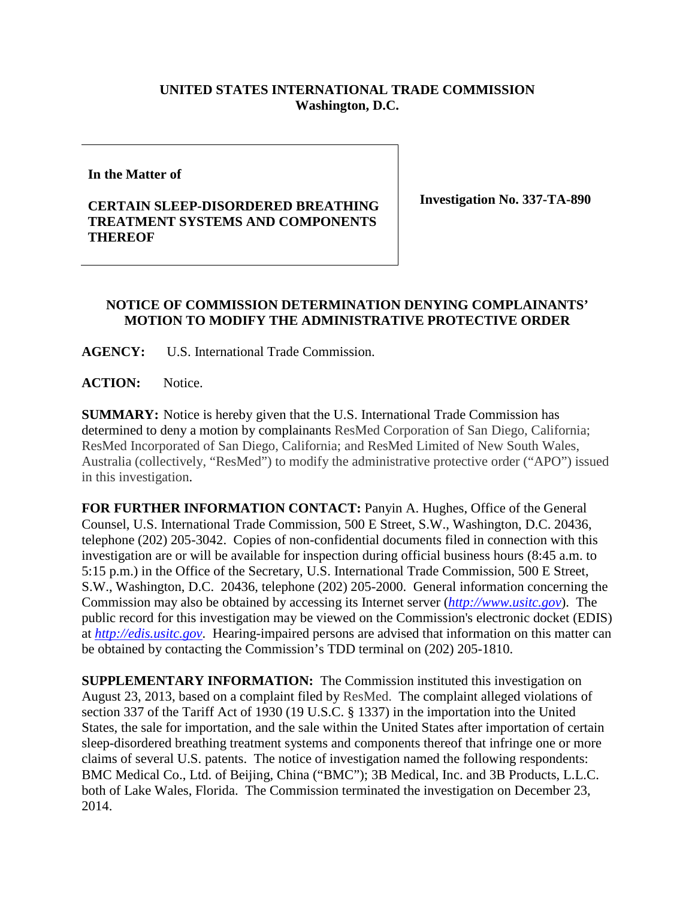## **UNITED STATES INTERNATIONAL TRADE COMMISSION Washington, D.C.**

**In the Matter of**

## **CERTAIN SLEEP-DISORDERED BREATHING TREATMENT SYSTEMS AND COMPONENTS THEREOF**

**Investigation No. 337-TA-890**

## **NOTICE OF COMMISSION DETERMINATION DENYING COMPLAINANTS' MOTION TO MODIFY THE ADMINISTRATIVE PROTECTIVE ORDER**

**AGENCY:** U.S. International Trade Commission.

**ACTION:** Notice.

**SUMMARY:** Notice is hereby given that the U.S. International Trade Commission has determined to deny a motion by complainants ResMed Corporation of San Diego, California; ResMed Incorporated of San Diego, California; and ResMed Limited of New South Wales, Australia (collectively, "ResMed") to modify the administrative protective order ("APO") issued in this investigation.

**FOR FURTHER INFORMATION CONTACT:** Panyin A. Hughes, Office of the General Counsel, U.S. International Trade Commission, 500 E Street, S.W., Washington, D.C. 20436, telephone (202) 205-3042. Copies of non-confidential documents filed in connection with this investigation are or will be available for inspection during official business hours (8:45 a.m. to 5:15 p.m.) in the Office of the Secretary, U.S. International Trade Commission, 500 E Street, S.W., Washington, D.C. 20436, telephone (202) 205-2000. General information concerning the Commission may also be obtained by accessing its Internet server (*[http://www.usitc.gov](http://www.usitc.gov/)*). The public record for this investigation may be viewed on the Commission's electronic docket (EDIS) at *[http://edis.usitc.gov](http://edis.usitc.gov/)*. Hearing-impaired persons are advised that information on this matter can be obtained by contacting the Commission's TDD terminal on (202) 205-1810.

**SUPPLEMENTARY INFORMATION:** The Commission instituted this investigation on August 23, 2013, based on a complaint filed by ResMed. The complaint alleged violations of section 337 of the Tariff Act of 1930 (19 U.S.C. § 1337) in the importation into the United States, the sale for importation, and the sale within the United States after importation of certain sleep-disordered breathing treatment systems and components thereof that infringe one or more claims of several U.S. patents. The notice of investigation named the following respondents: BMC Medical Co., Ltd. of Beijing, China ("BMC"); 3B Medical, Inc. and 3B Products, L.L.C. both of Lake Wales, Florida. The Commission terminated the investigation on December 23, 2014.